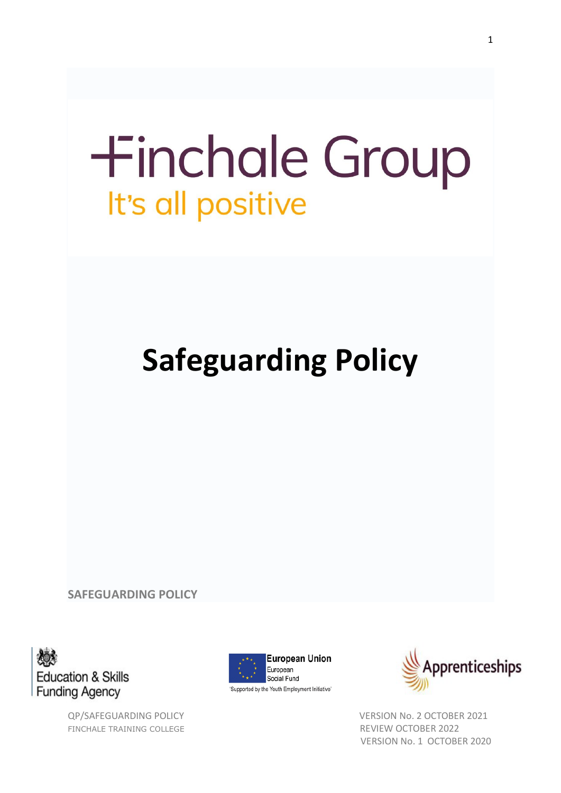# **+inchale Group** It's all positive

# **Safeguarding Policy**

**SAFEGUARDING POLICY**



FINCHALE TRAINING COLLEGE **REVIEW OCTOBER 2022** 



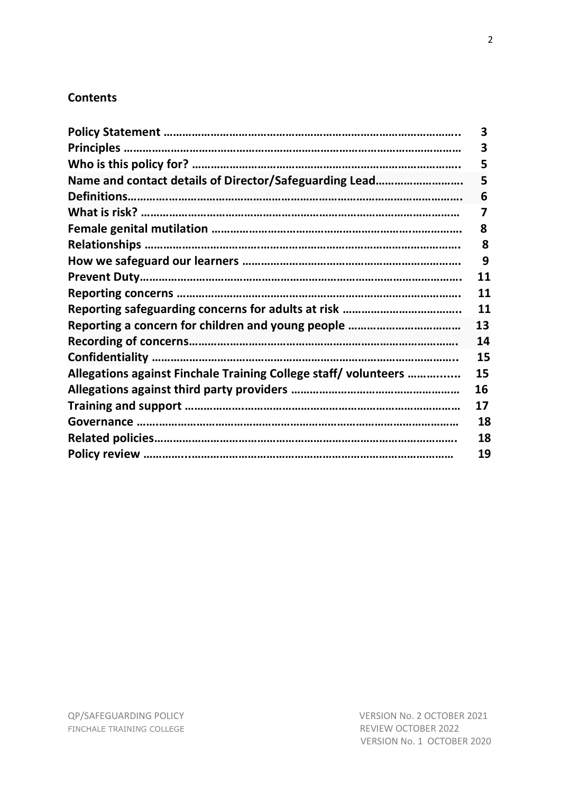# **Contents**

|                                                                 | 3  |
|-----------------------------------------------------------------|----|
|                                                                 | 3  |
|                                                                 | 5  |
| Name and contact details of Director/Safeguarding Lead          | 5  |
|                                                                 | 6  |
|                                                                 | 7  |
|                                                                 | 8  |
|                                                                 | 8  |
|                                                                 | 9  |
|                                                                 | 11 |
|                                                                 | 11 |
|                                                                 | 11 |
|                                                                 | 13 |
|                                                                 | 14 |
|                                                                 | 15 |
| Allegations against Finchale Training College staff/ volunteers | 15 |
|                                                                 | 16 |
|                                                                 | 17 |
|                                                                 | 18 |
|                                                                 | 18 |
|                                                                 | 19 |
|                                                                 |    |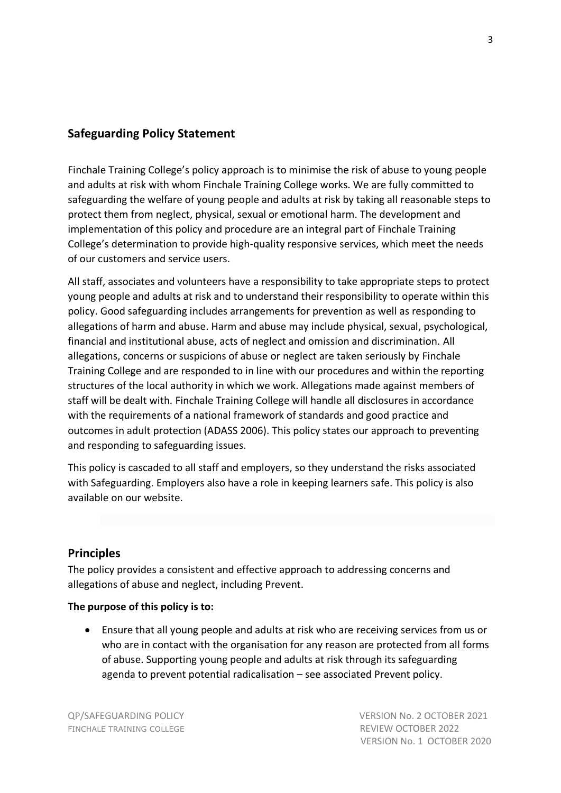# **Safeguarding Policy Statement**

Finchale Training College's policy approach is to minimise the risk of abuse to young people and adults at risk with whom Finchale Training College works. We are fully committed to safeguarding the welfare of young people and adults at risk by taking all reasonable steps to protect them from neglect, physical, sexual or emotional harm. The development and implementation of this policy and procedure are an integral part of Finchale Training College's determination to provide high-quality responsive services, which meet the needs of our customers and service users.

All staff, associates and volunteers have a responsibility to take appropriate steps to protect young people and adults at risk and to understand their responsibility to operate within this policy. Good safeguarding includes arrangements for prevention as well as responding to allegations of harm and abuse. Harm and abuse may include physical, sexual, psychological, financial and institutional abuse, acts of neglect and omission and discrimination. All allegations, concerns or suspicions of abuse or neglect are taken seriously by Finchale Training College and are responded to in line with our procedures and within the reporting structures of the local authority in which we work. Allegations made against members of staff will be dealt with. Finchale Training College will handle all disclosures in accordance with the requirements of a national framework of standards and good practice and outcomes in adult protection (ADASS 2006). This policy states our approach to preventing and responding to safeguarding issues.

This policy is cascaded to all staff and employers, so they understand the risks associated with Safeguarding. Employers also have a role in keeping learners safe. This policy is also available on our website.

#### **Principles**

The policy provides a consistent and effective approach to addressing concerns and allegations of abuse and neglect, including Prevent.

#### **The purpose of this policy is to:**

• Ensure that all young people and adults at risk who are receiving services from us or who are in contact with the organisation for any reason are protected from all forms of abuse. Supporting young people and adults at risk through its safeguarding agenda to prevent potential radicalisation – see associated Prevent policy.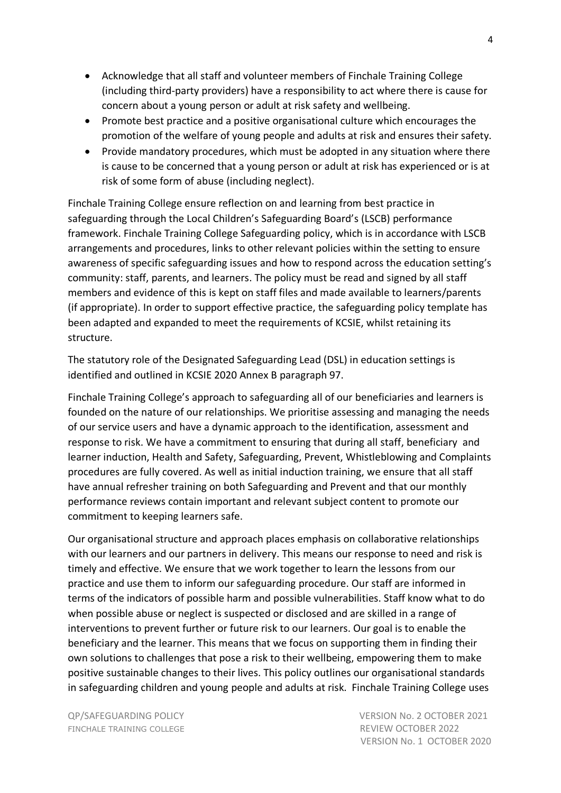- Acknowledge that all staff and volunteer members of Finchale Training College (including third-party providers) have a responsibility to act where there is cause for concern about a young person or adult at risk safety and wellbeing.
- Promote best practice and a positive organisational culture which encourages the promotion of the welfare of young people and adults at risk and ensures their safety.
- Provide mandatory procedures, which must be adopted in any situation where there is cause to be concerned that a young person or adult at risk has experienced or is at risk of some form of abuse (including neglect).

Finchale Training College ensure reflection on and learning from best practice in safeguarding through the Local Children's Safeguarding Board's (LSCB) performance framework. Finchale Training College Safeguarding policy, which is in accordance with LSCB arrangements and procedures, links to other relevant policies within the setting to ensure awareness of specific safeguarding issues and how to respond across the education setting's community: staff, parents, and learners. The policy must be read and signed by all staff members and evidence of this is kept on staff files and made available to learners/parents (if appropriate). In order to support effective practice, the safeguarding policy template has been adapted and expanded to meet the requirements of KCSIE, whilst retaining its structure.

The statutory role of the Designated Safeguarding Lead (DSL) in education settings is identified and outlined in KCSIE 2020 Annex B paragraph 97.

Finchale Training College's approach to safeguarding all of our beneficiaries and learners is founded on the nature of our relationships. We prioritise assessing and managing the needs of our service users and have a dynamic approach to the identification, assessment and response to risk. We have a commitment to ensuring that during all staff, beneficiary and learner induction, Health and Safety, Safeguarding, Prevent, Whistleblowing and Complaints procedures are fully covered. As well as initial induction training, we ensure that all staff have annual refresher training on both Safeguarding and Prevent and that our monthly performance reviews contain important and relevant subject content to promote our commitment to keeping learners safe.

Our organisational structure and approach places emphasis on collaborative relationships with our learners and our partners in delivery. This means our response to need and risk is timely and effective. We ensure that we work together to learn the lessons from our practice and use them to inform our safeguarding procedure. Our staff are informed in terms of the indicators of possible harm and possible vulnerabilities. Staff know what to do when possible abuse or neglect is suspected or disclosed and are skilled in a range of interventions to prevent further or future risk to our learners. Our goal is to enable the beneficiary and the learner. This means that we focus on supporting them in finding their own solutions to challenges that pose a risk to their wellbeing, empowering them to make positive sustainable changes to their lives. This policy outlines our organisational standards in safeguarding children and young people and adults at risk. Finchale Training College uses

FINCHALE TRAINING COLLEGE **REVIEW OCTOBER 2022**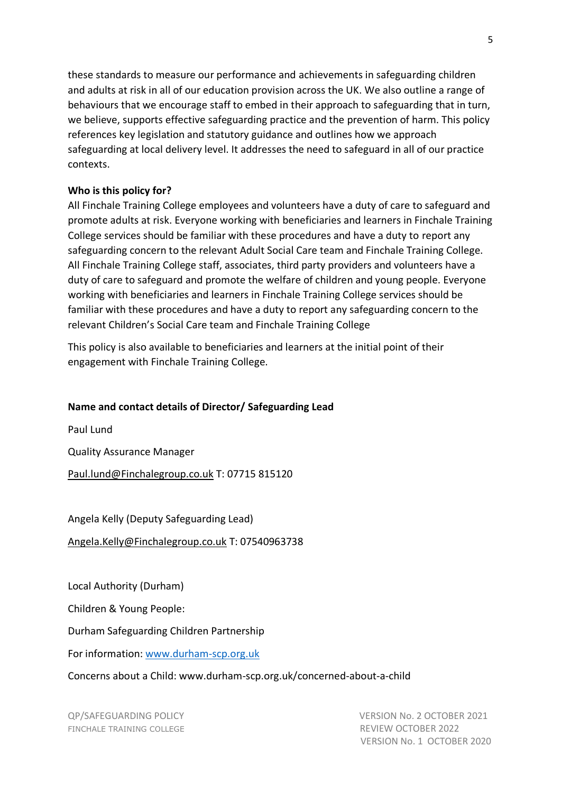these standards to measure our performance and achievements in safeguarding children and adults at risk in all of our education provision across the UK. We also outline a range of behaviours that we encourage staff to embed in their approach to safeguarding that in turn, we believe, supports effective safeguarding practice and the prevention of harm. This policy references key legislation and statutory guidance and outlines how we approach safeguarding at local delivery level. It addresses the need to safeguard in all of our practice contexts.

#### **Who is this policy for?**

All Finchale Training College employees and volunteers have a duty of care to safeguard and promote adults at risk. Everyone working with beneficiaries and learners in Finchale Training College services should be familiar with these procedures and have a duty to report any safeguarding concern to the relevant Adult Social Care team and Finchale Training College. All Finchale Training College staff, associates, third party providers and volunteers have a duty of care to safeguard and promote the welfare of children and young people. Everyone working with beneficiaries and learners in Finchale Training College services should be familiar with these procedures and have a duty to report any safeguarding concern to the relevant Children's Social Care team and Finchale Training College

This policy is also available to beneficiaries and learners at the initial point of their engagement with Finchale Training College.

#### **Name and contact details of Director/ Safeguarding Lead**

Paul Lund

Quality Assurance Manager

[Paul.lund@Finchalegroup.co.uk](mailto:Paul.lund@Finchalegroup.co.uk) T: 07715 815120

Angela Kelly (Deputy Safeguarding Lead)

[Angela.Kelly@Finchalegroup.co.uk](mailto:Angela.Kelly@Finchalegroup.co.uk) T: 07540963738

Local Authority (Durham)

Children & Young People:

Durham Safeguarding Children Partnership

For information: [www.durham-scp.org.uk](http://www.durham-scp.org.uk/)

Concerns about a Child: www.durham-scp.org.uk/concerned-about-a-child

FINCHALE TRAINING COLLEGE **REVIEW OCTOBER 2022**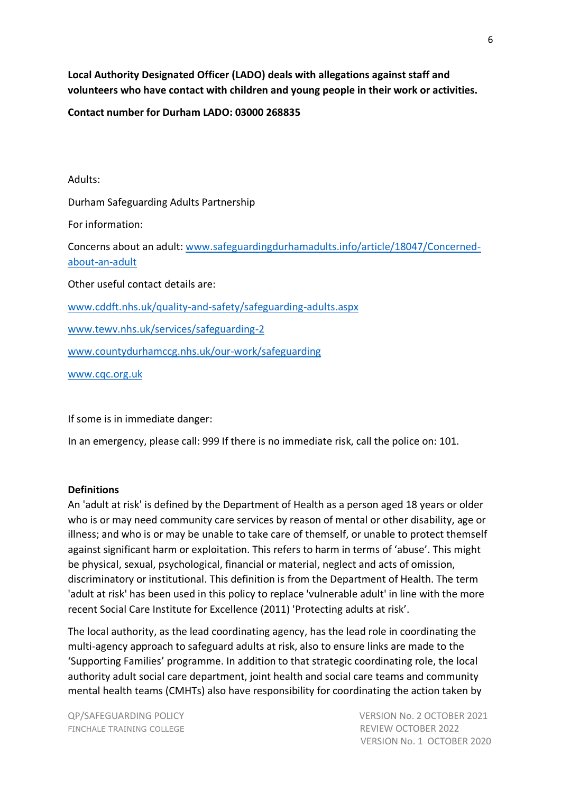**Local Authority Designated Officer (LADO) deals with allegations against staff and volunteers who have contact with children and young people in their work or activities.** 

#### **Contact number for Durham LADO: 03000 268835**

Adults: Durham Safeguarding Adults Partnership For information: Concerns about an adult: [www.safeguardingdurhamadults.info/article/18047/Concerned](http://www.safeguardingdurhamadults.info/article/18047/Concerned-about-an-adult)[about-an-adult](http://www.safeguardingdurhamadults.info/article/18047/Concerned-about-an-adult) Other useful contact details are: [www.cddft.nhs.uk/quality-and-safety/safeguarding-adults.aspx](http://www.cddft.nhs.uk/quality-and-safety/safeguarding-adults.aspx) [www.tewv.nhs.uk/services/safeguarding-2](http://www.tewv.nhs.uk/services/safeguarding-2) [www.countydurhamccg.nhs.uk/our-work/safeguarding](http://www.countydurhamccg.nhs.uk/our-work/safeguarding) [www.cqc.org.uk](http://www.cqc.org.uk/)

If some is in immediate danger:

In an emergency, please call: 999 If there is no immediate risk, call the police on: 101.

#### **Definitions**

An 'adult at risk' is defined by the Department of Health as a person aged 18 years or older who is or may need community care services by reason of mental or other disability, age or illness; and who is or may be unable to take care of themself, or unable to protect themself against significant harm or exploitation. This refers to harm in terms of 'abuse'. This might be physical, sexual, psychological, financial or material, neglect and acts of omission, discriminatory or institutional. This definition is from the Department of Health. The term 'adult at risk' has been used in this policy to replace 'vulnerable adult' in line with the more recent Social Care Institute for Excellence (2011) 'Protecting adults at risk'.

The local authority, as the lead coordinating agency, has the lead role in coordinating the multi-agency approach to safeguard adults at risk, also to ensure links are made to the 'Supporting Families' programme. In addition to that strategic coordinating role, the local authority adult social care department, joint health and social care teams and community mental health teams (CMHTs) also have responsibility for coordinating the action taken by

FINCHALE TRAINING COLLEGE **REVIEW OCTOBER 2022**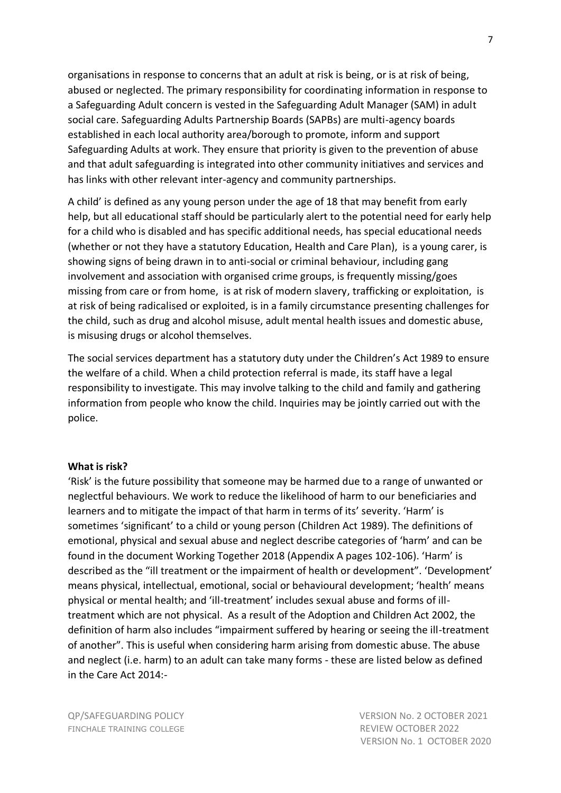organisations in response to concerns that an adult at risk is being, or is at risk of being, abused or neglected. The primary responsibility for coordinating information in response to a Safeguarding Adult concern is vested in the Safeguarding Adult Manager (SAM) in adult social care. Safeguarding Adults Partnership Boards (SAPBs) are multi-agency boards established in each local authority area/borough to promote, inform and support Safeguarding Adults at work. They ensure that priority is given to the prevention of abuse and that adult safeguarding is integrated into other community initiatives and services and has links with other relevant inter-agency and community partnerships.

A child' is defined as any young person under the age of 18 that may benefit from early help, but all educational staff should be particularly alert to the potential need for early help for a child who is disabled and has specific additional needs, has special educational needs (whether or not they have a statutory Education, Health and Care Plan), is a young carer, is showing signs of being drawn in to anti-social or criminal behaviour, including gang involvement and association with organised crime groups, is frequently missing/goes missing from care or from home, is at risk of modern slavery, trafficking or exploitation, is at risk of being radicalised or exploited, is in a family circumstance presenting challenges for the child, such as drug and alcohol misuse, adult mental health issues and domestic abuse, is misusing drugs or alcohol themselves.

The social services department has a statutory duty under the Children's Act 1989 to ensure the welfare of a child. When a child protection referral is made, its staff have a legal responsibility to investigate. This may involve talking to the child and family and gathering information from people who know the child. Inquiries may be jointly carried out with the police.

#### **What is risk?**

'Risk' is the future possibility that someone may be harmed due to a range of unwanted or neglectful behaviours. We work to reduce the likelihood of harm to our beneficiaries and learners and to mitigate the impact of that harm in terms of its' severity. 'Harm' is sometimes 'significant' to a child or young person (Children Act 1989). The definitions of emotional, physical and sexual abuse and neglect describe categories of 'harm' and can be found in the document Working Together 2018 (Appendix A pages 102-106). 'Harm' is described as the "ill treatment or the impairment of health or development". 'Development' means physical, intellectual, emotional, social or behavioural development; 'health' means physical or mental health; and 'ill-treatment' includes sexual abuse and forms of illtreatment which are not physical. As a result of the Adoption and Children Act 2002, the definition of harm also includes "impairment suffered by hearing or seeing the ill-treatment of another". This is useful when considering harm arising from domestic abuse. The abuse and neglect (i.e. harm) to an adult can take many forms - these are listed below as defined in the Care Act 2014:-

FINCHALE TRAINING COLLEGE **REVIEW OCTOBER 2022**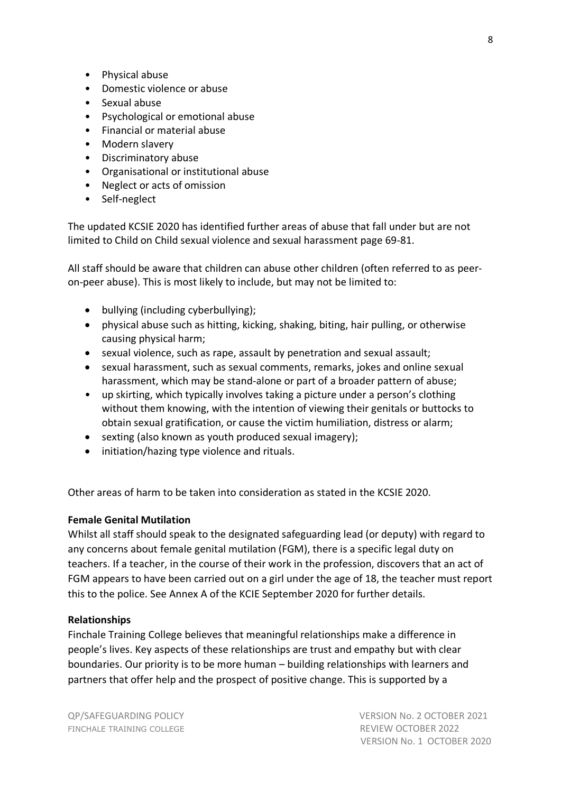- Physical abuse
- Domestic violence or abuse
- Sexual abuse
- Psychological or emotional abuse
- Financial or material abuse
- Modern slavery
- Discriminatory abuse
- Organisational or institutional abuse
- Neglect or acts of omission
- Self-neglect

The updated KCSIE 2020 has identified further areas of abuse that fall under but are not limited to Child on Child sexual violence and sexual harassment page 69-81.

All staff should be aware that children can abuse other children (often referred to as peeron-peer abuse). This is most likely to include, but may not be limited to:

- bullying (including cyberbullying);
- physical abuse such as hitting, kicking, shaking, biting, hair pulling, or otherwise causing physical harm;
- sexual violence, such as rape, assault by penetration and sexual assault;
- sexual harassment, such as sexual comments, remarks, jokes and online sexual harassment, which may be stand-alone or part of a broader pattern of abuse;
- up skirting, which typically involves taking a picture under a person's clothing without them knowing, with the intention of viewing their genitals or buttocks to obtain sexual gratification, or cause the victim humiliation, distress or alarm;
- sexting (also known as youth produced sexual imagery);
- initiation/hazing type violence and rituals.

Other areas of harm to be taken into consideration as stated in the KCSIE 2020.

#### **Female Genital Mutilation**

Whilst all staff should speak to the designated safeguarding lead (or deputy) with regard to any concerns about female genital mutilation (FGM), there is a specific legal duty on teachers. If a teacher, in the course of their work in the profession, discovers that an act of FGM appears to have been carried out on a girl under the age of 18, the teacher must report this to the police. See Annex A of the KCIE September 2020 for further details.

#### **Relationships**

Finchale Training College believes that meaningful relationships make a difference in people's lives. Key aspects of these relationships are trust and empathy but with clear boundaries. Our priority is to be more human – building relationships with learners and partners that offer help and the prospect of positive change. This is supported by a

FINCHALE TRAINING COLLEGE **REVIEW OCTOBER 2022**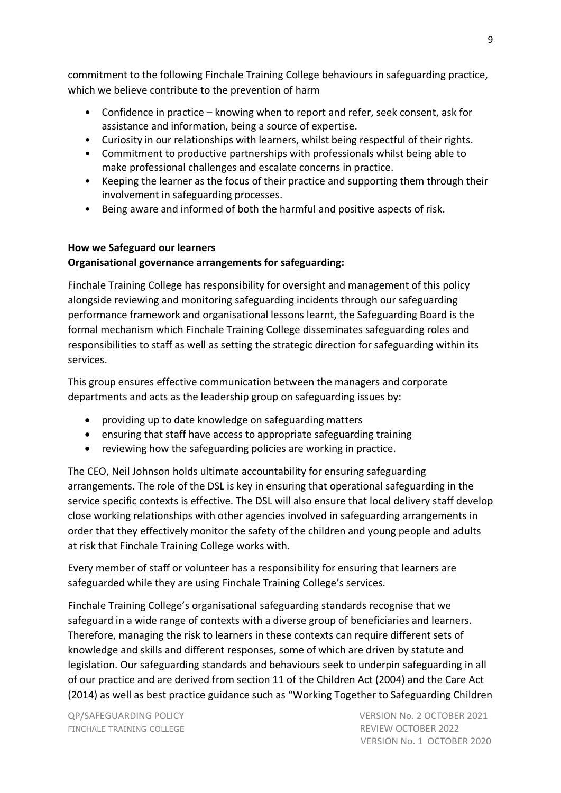commitment to the following Finchale Training College behaviours in safeguarding practice, which we believe contribute to the prevention of harm

- Confidence in practice knowing when to report and refer, seek consent, ask for assistance and information, being a source of expertise.
- Curiosity in our relationships with learners, whilst being respectful of their rights.
- Commitment to productive partnerships with professionals whilst being able to make professional challenges and escalate concerns in practice.
- Keeping the learner as the focus of their practice and supporting them through their involvement in safeguarding processes.
- Being aware and informed of both the harmful and positive aspects of risk.

# **How we Safeguard our learners Organisational governance arrangements for safeguarding:**

Finchale Training College has responsibility for oversight and management of this policy alongside reviewing and monitoring safeguarding incidents through our safeguarding performance framework and organisational lessons learnt, the Safeguarding Board is the formal mechanism which Finchale Training College disseminates safeguarding roles and responsibilities to staff as well as setting the strategic direction for safeguarding within its services.

This group ensures effective communication between the managers and corporate departments and acts as the leadership group on safeguarding issues by:

- providing up to date knowledge on safeguarding matters
- ensuring that staff have access to appropriate safeguarding training
- reviewing how the safeguarding policies are working in practice.

The CEO, Neil Johnson holds ultimate accountability for ensuring safeguarding arrangements. The role of the DSL is key in ensuring that operational safeguarding in the service specific contexts is effective. The DSL will also ensure that local delivery staff develop close working relationships with other agencies involved in safeguarding arrangements in order that they effectively monitor the safety of the children and young people and adults at risk that Finchale Training College works with.

Every member of staff or volunteer has a responsibility for ensuring that learners are safeguarded while they are using Finchale Training College's services.

Finchale Training College's organisational safeguarding standards recognise that we safeguard in a wide range of contexts with a diverse group of beneficiaries and learners. Therefore, managing the risk to learners in these contexts can require different sets of knowledge and skills and different responses, some of which are driven by statute and legislation. Our safeguarding standards and behaviours seek to underpin safeguarding in all of our practice and are derived from section 11 of the Children Act (2004) and the Care Act (2014) as well as best practice guidance such as "Working Together to Safeguarding Children

FINCHALE TRAINING COLLEGE **REVIEW OCTOBER 2022**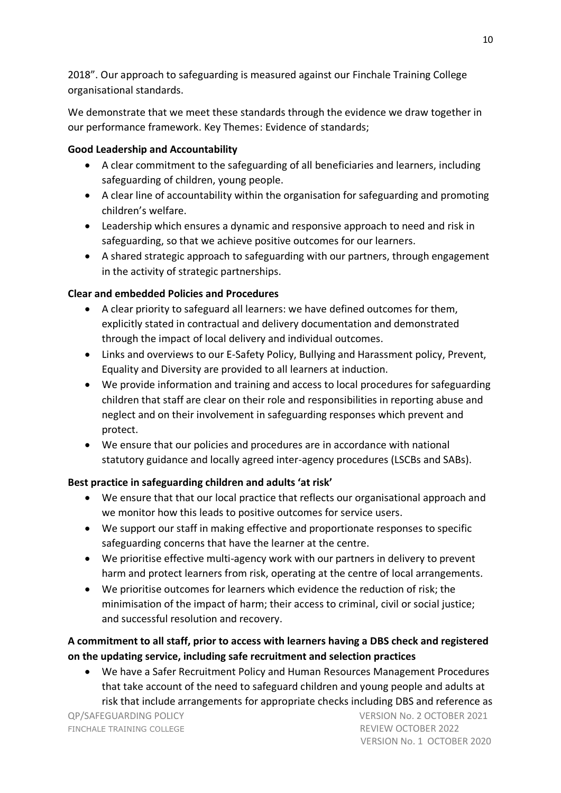2018". Our approach to safeguarding is measured against our Finchale Training College organisational standards.

We demonstrate that we meet these standards through the evidence we draw together in our performance framework. Key Themes: Evidence of standards;

## **Good Leadership and Accountability**

- A clear commitment to the safeguarding of all beneficiaries and learners, including safeguarding of children, young people.
- A clear line of accountability within the organisation for safeguarding and promoting children's welfare.
- Leadership which ensures a dynamic and responsive approach to need and risk in safeguarding, so that we achieve positive outcomes for our learners.
- A shared strategic approach to safeguarding with our partners, through engagement in the activity of strategic partnerships.

# **Clear and embedded Policies and Procedures**

- A clear priority to safeguard all learners: we have defined outcomes for them, explicitly stated in contractual and delivery documentation and demonstrated through the impact of local delivery and individual outcomes.
- Links and overviews to our E-Safety Policy, Bullying and Harassment policy, Prevent, Equality and Diversity are provided to all learners at induction.
- We provide information and training and access to local procedures for safeguarding children that staff are clear on their role and responsibilities in reporting abuse and neglect and on their involvement in safeguarding responses which prevent and protect.
- We ensure that our policies and procedures are in accordance with national statutory guidance and locally agreed inter-agency procedures (LSCBs and SABs).

# **Best practice in safeguarding children and adults 'at risk'**

- We ensure that that our local practice that reflects our organisational approach and we monitor how this leads to positive outcomes for service users.
- We support our staff in making effective and proportionate responses to specific safeguarding concerns that have the learner at the centre.
- We prioritise effective multi-agency work with our partners in delivery to prevent harm and protect learners from risk, operating at the centre of local arrangements.
- We prioritise outcomes for learners which evidence the reduction of risk; the minimisation of the impact of harm; their access to criminal, civil or social justice; and successful resolution and recovery.

# **A commitment to all staff, prior to access with learners having a DBS check and registered on the updating service, including safe recruitment and selection practices**

• We have a Safer Recruitment Policy and Human Resources Management Procedures that take account of the need to safeguard children and young people and adults at risk that include arrangements for appropriate checks including DBS and reference as

FINCHALE TRAINING COLLEGE **REVIEW OCTOBER 2022**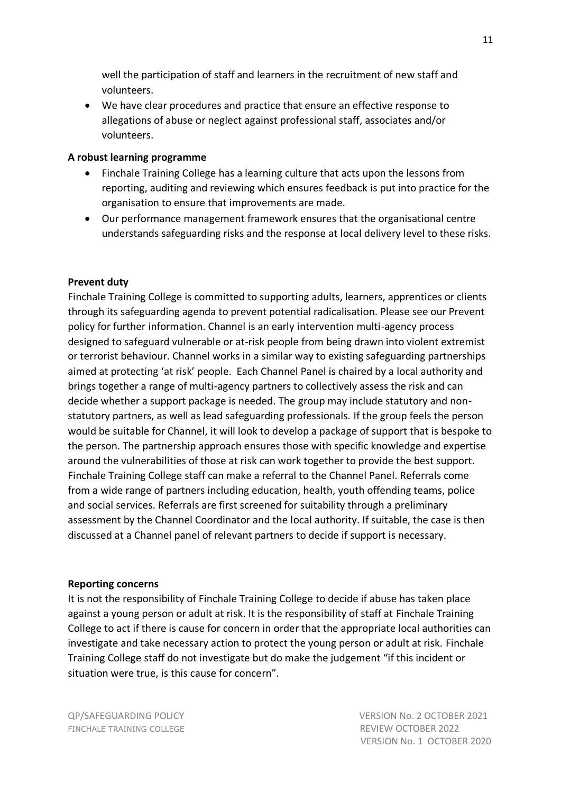well the participation of staff and learners in the recruitment of new staff and volunteers.

• We have clear procedures and practice that ensure an effective response to allegations of abuse or neglect against professional staff, associates and/or volunteers.

#### **A robust learning programme**

- Finchale Training College has a learning culture that acts upon the lessons from reporting, auditing and reviewing which ensures feedback is put into practice for the organisation to ensure that improvements are made.
- Our performance management framework ensures that the organisational centre understands safeguarding risks and the response at local delivery level to these risks.

#### **Prevent duty**

Finchale Training College is committed to supporting adults, learners, apprentices or clients through its safeguarding agenda to prevent potential radicalisation. Please see our Prevent policy for further information. Channel is an early intervention multi-agency process designed to safeguard vulnerable or at-risk people from being drawn into violent extremist or terrorist behaviour. Channel works in a similar way to existing safeguarding partnerships aimed at protecting 'at risk' people. Each Channel Panel is chaired by a local authority and brings together a range of multi-agency partners to collectively assess the risk and can decide whether a support package is needed. The group may include statutory and nonstatutory partners, as well as lead safeguarding professionals. If the group feels the person would be suitable for Channel, it will look to develop a package of support that is bespoke to the person. The partnership approach ensures those with specific knowledge and expertise around the vulnerabilities of those at risk can work together to provide the best support. Finchale Training College staff can make a referral to the Channel Panel. Referrals come from a wide range of partners including education, health, youth offending teams, police and social services. Referrals are first screened for suitability through a preliminary assessment by the Channel Coordinator and the local authority. If suitable, the case is then discussed at a Channel panel of relevant partners to decide if support is necessary.

#### **Reporting concerns**

It is not the responsibility of Finchale Training College to decide if abuse has taken place against a young person or adult at risk. It is the responsibility of staff at Finchale Training College to act if there is cause for concern in order that the appropriate local authorities can investigate and take necessary action to protect the young person or adult at risk. Finchale Training College staff do not investigate but do make the judgement "if this incident or situation were true, is this cause for concern".

FINCHALE TRAINING COLLEGE **REVIEW OCTOBER 2022**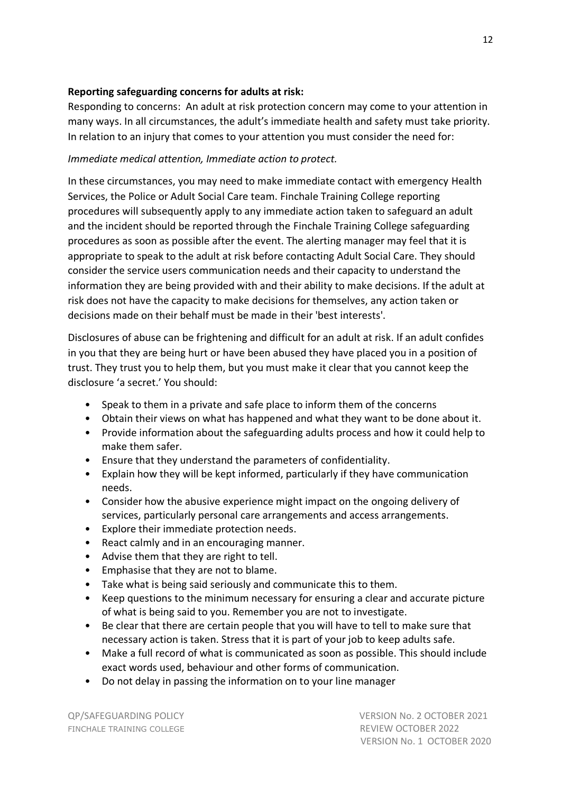#### **Reporting safeguarding concerns for adults at risk:**

Responding to concerns: An adult at risk protection concern may come to your attention in many ways. In all circumstances, the adult's immediate health and safety must take priority. In relation to an injury that comes to your attention you must consider the need for:

#### *Immediate medical attention, Immediate action to protect.*

In these circumstances, you may need to make immediate contact with emergency Health Services, the Police or Adult Social Care team. Finchale Training College reporting procedures will subsequently apply to any immediate action taken to safeguard an adult and the incident should be reported through the Finchale Training College safeguarding procedures as soon as possible after the event. The alerting manager may feel that it is appropriate to speak to the adult at risk before contacting Adult Social Care. They should consider the service users communication needs and their capacity to understand the information they are being provided with and their ability to make decisions. If the adult at risk does not have the capacity to make decisions for themselves, any action taken or decisions made on their behalf must be made in their 'best interests'.

Disclosures of abuse can be frightening and difficult for an adult at risk. If an adult confides in you that they are being hurt or have been abused they have placed you in a position of trust. They trust you to help them, but you must make it clear that you cannot keep the disclosure 'a secret.' You should:

- Speak to them in a private and safe place to inform them of the concerns
- Obtain their views on what has happened and what they want to be done about it.
- Provide information about the safeguarding adults process and how it could help to make them safer.
- Ensure that they understand the parameters of confidentiality.
- Explain how they will be kept informed, particularly if they have communication needs.
- Consider how the abusive experience might impact on the ongoing delivery of services, particularly personal care arrangements and access arrangements.
- Explore their immediate protection needs.
- React calmly and in an encouraging manner.
- Advise them that they are right to tell.
- Emphasise that they are not to blame.
- Take what is being said seriously and communicate this to them.
- Keep questions to the minimum necessary for ensuring a clear and accurate picture of what is being said to you. Remember you are not to investigate.
- Be clear that there are certain people that you will have to tell to make sure that necessary action is taken. Stress that it is part of your job to keep adults safe.
- Make a full record of what is communicated as soon as possible. This should include exact words used, behaviour and other forms of communication.
- Do not delay in passing the information on to your line manager

FINCHALE TRAINING COLLEGE **REVIEW OCTOBER 2022**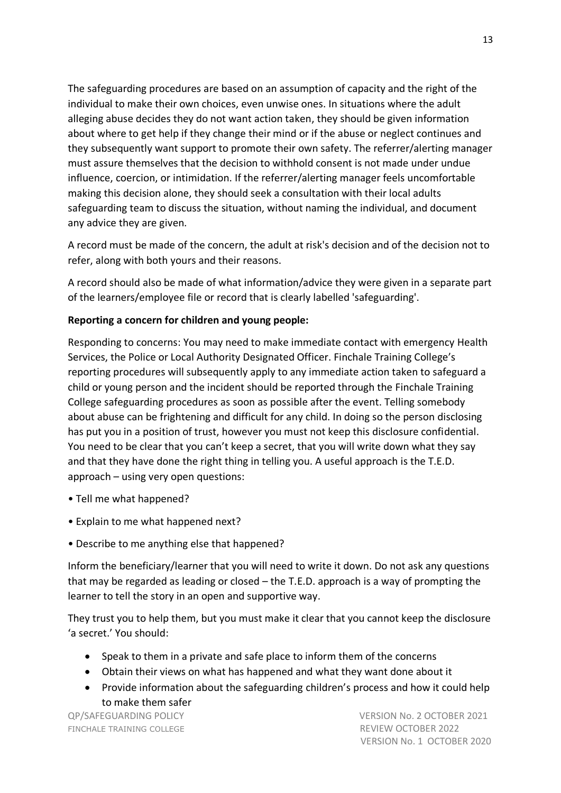The safeguarding procedures are based on an assumption of capacity and the right of the individual to make their own choices, even unwise ones. In situations where the adult alleging abuse decides they do not want action taken, they should be given information about where to get help if they change their mind or if the abuse or neglect continues and they subsequently want support to promote their own safety. The referrer/alerting manager must assure themselves that the decision to withhold consent is not made under undue influence, coercion, or intimidation. If the referrer/alerting manager feels uncomfortable making this decision alone, they should seek a consultation with their local adults safeguarding team to discuss the situation, without naming the individual, and document any advice they are given.

A record must be made of the concern, the adult at risk's decision and of the decision not to refer, along with both yours and their reasons.

A record should also be made of what information/advice they were given in a separate part of the learners/employee file or record that is clearly labelled 'safeguarding'.

#### **Reporting a concern for children and young people:**

Responding to concerns: You may need to make immediate contact with emergency Health Services, the Police or Local Authority Designated Officer. Finchale Training College's reporting procedures will subsequently apply to any immediate action taken to safeguard a child or young person and the incident should be reported through the Finchale Training College safeguarding procedures as soon as possible after the event. Telling somebody about abuse can be frightening and difficult for any child. In doing so the person disclosing has put you in a position of trust, however you must not keep this disclosure confidential. You need to be clear that you can't keep a secret, that you will write down what they say and that they have done the right thing in telling you. A useful approach is the T.E.D. approach – using very open questions:

- Tell me what happened?
- Explain to me what happened next?
- Describe to me anything else that happened?

Inform the beneficiary/learner that you will need to write it down. Do not ask any questions that may be regarded as leading or closed – the T.E.D. approach is a way of prompting the learner to tell the story in an open and supportive way.

They trust you to help them, but you must make it clear that you cannot keep the disclosure 'a secret.' You should:

- Speak to them in a private and safe place to inform them of the concerns
- Obtain their views on what has happened and what they want done about it
- Provide information about the safeguarding children's process and how it could help to make them safer

FINCHALE TRAINING COLLEGE **REVIEW OCTOBER 2022**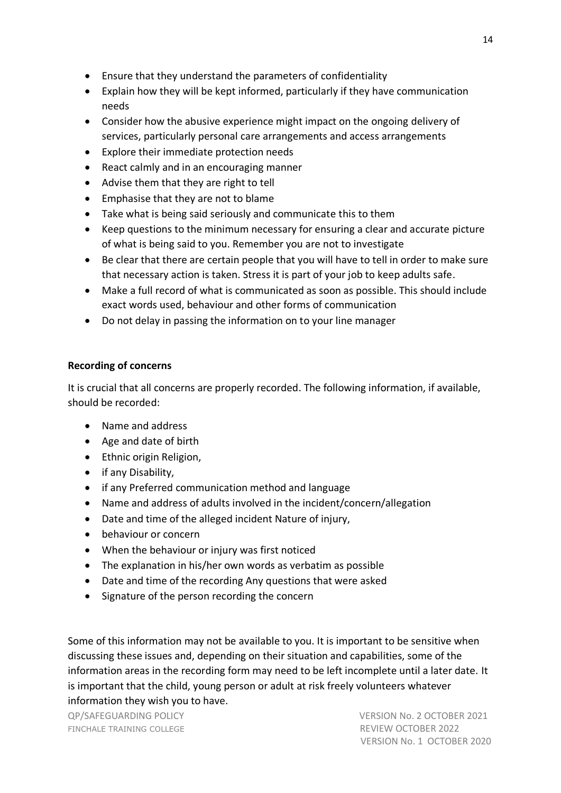- Ensure that they understand the parameters of confidentiality
- Explain how they will be kept informed, particularly if they have communication needs
- Consider how the abusive experience might impact on the ongoing delivery of services, particularly personal care arrangements and access arrangements
- Explore their immediate protection needs
- React calmly and in an encouraging manner
- Advise them that they are right to tell
- Emphasise that they are not to blame
- Take what is being said seriously and communicate this to them
- Keep questions to the minimum necessary for ensuring a clear and accurate picture of what is being said to you. Remember you are not to investigate
- Be clear that there are certain people that you will have to tell in order to make sure that necessary action is taken. Stress it is part of your job to keep adults safe.
- Make a full record of what is communicated as soon as possible. This should include exact words used, behaviour and other forms of communication
- Do not delay in passing the information on to your line manager

### **Recording of concerns**

It is crucial that all concerns are properly recorded. The following information, if available, should be recorded:

- Name and address
- Age and date of birth
- Ethnic origin Religion,
- if any Disability,
- if any Preferred communication method and language
- Name and address of adults involved in the incident/concern/allegation
- Date and time of the alleged incident Nature of injury,
- behaviour or concern
- When the behaviour or injury was first noticed
- The explanation in his/her own words as verbatim as possible
- Date and time of the recording Any questions that were asked
- Signature of the person recording the concern

Some of this information may not be available to you. It is important to be sensitive when discussing these issues and, depending on their situation and capabilities, some of the information areas in the recording form may need to be left incomplete until a later date. It is important that the child, young person or adult at risk freely volunteers whatever information they wish you to have.

FINCHALE TRAINING COLLEGE **REVIEW OCTOBER 2022**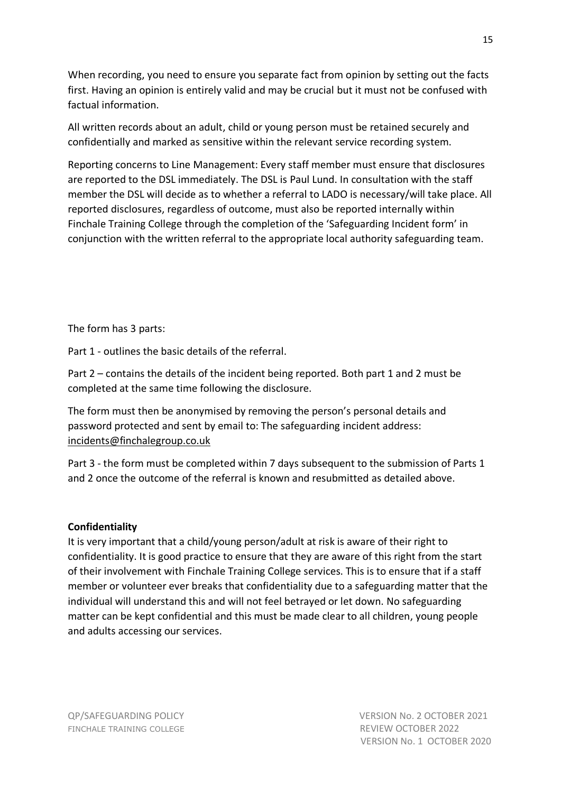When recording, you need to ensure you separate fact from opinion by setting out the facts first. Having an opinion is entirely valid and may be crucial but it must not be confused with factual information.

All written records about an adult, child or young person must be retained securely and confidentially and marked as sensitive within the relevant service recording system.

Reporting concerns to Line Management: Every staff member must ensure that disclosures are reported to the DSL immediately. The DSL is Paul Lund. In consultation with the staff member the DSL will decide as to whether a referral to LADO is necessary/will take place. All reported disclosures, regardless of outcome, must also be reported internally within Finchale Training College through the completion of the 'Safeguarding Incident form' in conjunction with the written referral to the appropriate local authority safeguarding team.

The form has 3 parts:

Part 1 - outlines the basic details of the referral.

Part 2 – contains the details of the incident being reported. Both part 1 and 2 must be completed at the same time following the disclosure.

The form must then be anonymised by removing the person's personal details and password protected and sent by email to: The safeguarding incident address: [incidents@finchalegroup.co.uk](mailto:incidents@finchalegroup.co.uk)

Part 3 - the form must be completed within 7 days subsequent to the submission of Parts 1 and 2 once the outcome of the referral is known and resubmitted as detailed above.

#### **Confidentiality**

It is very important that a child/young person/adult at risk is aware of their right to confidentiality. It is good practice to ensure that they are aware of this right from the start of their involvement with Finchale Training College services. This is to ensure that if a staff member or volunteer ever breaks that confidentiality due to a safeguarding matter that the individual will understand this and will not feel betrayed or let down. No safeguarding matter can be kept confidential and this must be made clear to all children, young people and adults accessing our services.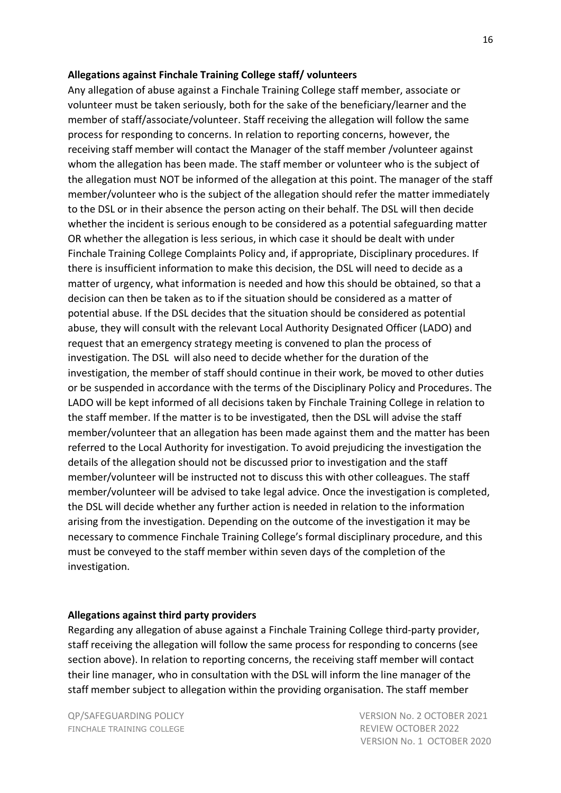#### **Allegations against Finchale Training College staff/ volunteers**

Any allegation of abuse against a Finchale Training College staff member, associate or volunteer must be taken seriously, both for the sake of the beneficiary/learner and the member of staff/associate/volunteer. Staff receiving the allegation will follow the same process for responding to concerns. In relation to reporting concerns, however, the receiving staff member will contact the Manager of the staff member /volunteer against whom the allegation has been made. The staff member or volunteer who is the subject of the allegation must NOT be informed of the allegation at this point. The manager of the staff member/volunteer who is the subject of the allegation should refer the matter immediately to the DSL or in their absence the person acting on their behalf. The DSL will then decide whether the incident is serious enough to be considered as a potential safeguarding matter OR whether the allegation is less serious, in which case it should be dealt with under Finchale Training College Complaints Policy and, if appropriate, Disciplinary procedures. If there is insufficient information to make this decision, the DSL will need to decide as a matter of urgency, what information is needed and how this should be obtained, so that a decision can then be taken as to if the situation should be considered as a matter of potential abuse. If the DSL decides that the situation should be considered as potential abuse, they will consult with the relevant Local Authority Designated Officer (LADO) and request that an emergency strategy meeting is convened to plan the process of investigation. The DSL will also need to decide whether for the duration of the investigation, the member of staff should continue in their work, be moved to other duties or be suspended in accordance with the terms of the Disciplinary Policy and Procedures. The LADO will be kept informed of all decisions taken by Finchale Training College in relation to the staff member. If the matter is to be investigated, then the DSL will advise the staff member/volunteer that an allegation has been made against them and the matter has been referred to the Local Authority for investigation. To avoid prejudicing the investigation the details of the allegation should not be discussed prior to investigation and the staff member/volunteer will be instructed not to discuss this with other colleagues. The staff member/volunteer will be advised to take legal advice. Once the investigation is completed, the DSL will decide whether any further action is needed in relation to the information arising from the investigation. Depending on the outcome of the investigation it may be necessary to commence Finchale Training College's formal disciplinary procedure, and this must be conveyed to the staff member within seven days of the completion of the investigation.

#### **Allegations against third party providers**

Regarding any allegation of abuse against a Finchale Training College third-party provider, staff receiving the allegation will follow the same process for responding to concerns (see section above). In relation to reporting concerns, the receiving staff member will contact their line manager, who in consultation with the DSL will inform the line manager of the staff member subject to allegation within the providing organisation. The staff member

FINCHALE TRAINING COLLEGE **REVIEW OCTOBER 2022**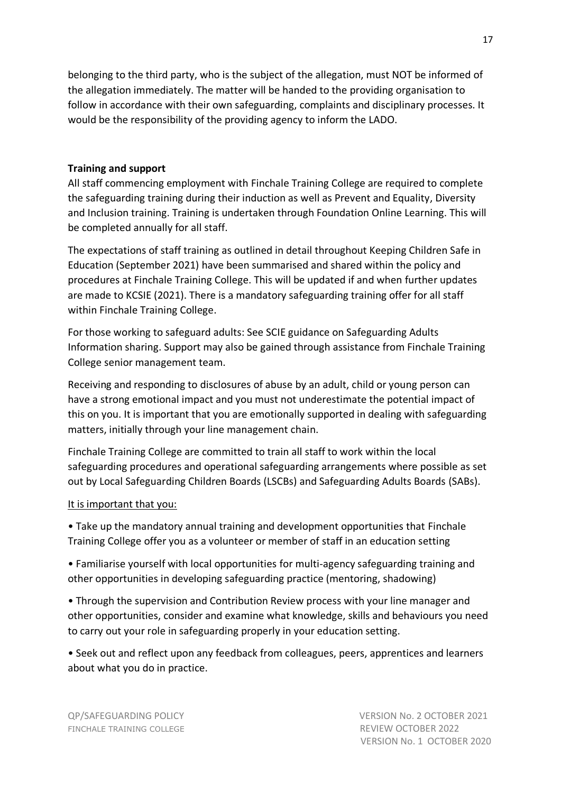belonging to the third party, who is the subject of the allegation, must NOT be informed of the allegation immediately. The matter will be handed to the providing organisation to follow in accordance with their own safeguarding, complaints and disciplinary processes. It would be the responsibility of the providing agency to inform the LADO.

#### **Training and support**

All staff commencing employment with Finchale Training College are required to complete the safeguarding training during their induction as well as Prevent and Equality, Diversity and Inclusion training. Training is undertaken through Foundation Online Learning. This will be completed annually for all staff.

The expectations of staff training as outlined in detail throughout Keeping Children Safe in Education (September 2021) have been summarised and shared within the policy and procedures at Finchale Training College. This will be updated if and when further updates are made to KCSIE (2021). There is a mandatory safeguarding training offer for all staff within Finchale Training College.

For those working to safeguard adults: See SCIE guidance on Safeguarding Adults Information sharing. Support may also be gained through assistance from Finchale Training College senior management team.

Receiving and responding to disclosures of abuse by an adult, child or young person can have a strong emotional impact and you must not underestimate the potential impact of this on you. It is important that you are emotionally supported in dealing with safeguarding matters, initially through your line management chain.

Finchale Training College are committed to train all staff to work within the local safeguarding procedures and operational safeguarding arrangements where possible as set out by Local Safeguarding Children Boards (LSCBs) and Safeguarding Adults Boards (SABs).

#### It is important that you:

• Take up the mandatory annual training and development opportunities that Finchale Training College offer you as a volunteer or member of staff in an education setting

• Familiarise yourself with local opportunities for multi-agency safeguarding training and other opportunities in developing safeguarding practice (mentoring, shadowing)

• Through the supervision and Contribution Review process with your line manager and other opportunities, consider and examine what knowledge, skills and behaviours you need to carry out your role in safeguarding properly in your education setting.

• Seek out and reflect upon any feedback from colleagues, peers, apprentices and learners about what you do in practice.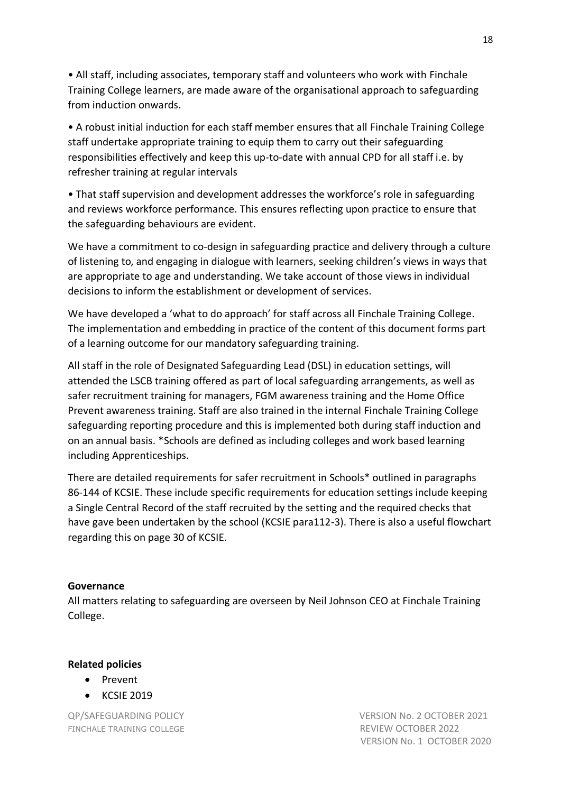• All staff, including associates, temporary staff and volunteers who work with Finchale Training College learners, are made aware of the organisational approach to safeguarding from induction onwards.

• A robust initial induction for each staff member ensures that all Finchale Training College staff undertake appropriate training to equip them to carry out their safeguarding responsibilities effectively and keep this up-to-date with annual CPD for all staff i.e. by refresher training at regular intervals

• That staff supervision and development addresses the workforce's role in safeguarding and reviews workforce performance. This ensures reflecting upon practice to ensure that the safeguarding behaviours are evident.

We have a commitment to co-design in safeguarding practice and delivery through a culture of listening to, and engaging in dialogue with learners, seeking children's views in ways that are appropriate to age and understanding. We take account of those views in individual decisions to inform the establishment or development of services.

We have developed a 'what to do approach' for staff across all Finchale Training College. The implementation and embedding in practice of the content of this document forms part of a learning outcome for our mandatory safeguarding training.

All staff in the role of Designated Safeguarding Lead (DSL) in education settings, will attended the LSCB training offered as part of local safeguarding arrangements, as well as safer recruitment training for managers, FGM awareness training and the Home Office Prevent awareness training. Staff are also trained in the internal Finchale Training College safeguarding reporting procedure and this is implemented both during staff induction and on an annual basis. \*Schools are defined as including colleges and work based learning including Apprenticeships.

There are detailed requirements for safer recruitment in Schools\* outlined in paragraphs 86-144 of KCSIE. These include specific requirements for education settings include keeping a Single Central Record of the staff recruited by the setting and the required checks that have gave been undertaken by the school (KCSIE para112-3). There is also a useful flowchart regarding this on page 30 of KCSIE.

#### **Governance**

All matters relating to safeguarding are overseen by Neil Johnson CEO at Finchale Training College.

#### **Related policies**

- Prevent
- KCSIE 2019

FINCHALE TRAINING COLLEGE **REVIEW OCTOBER 2022**